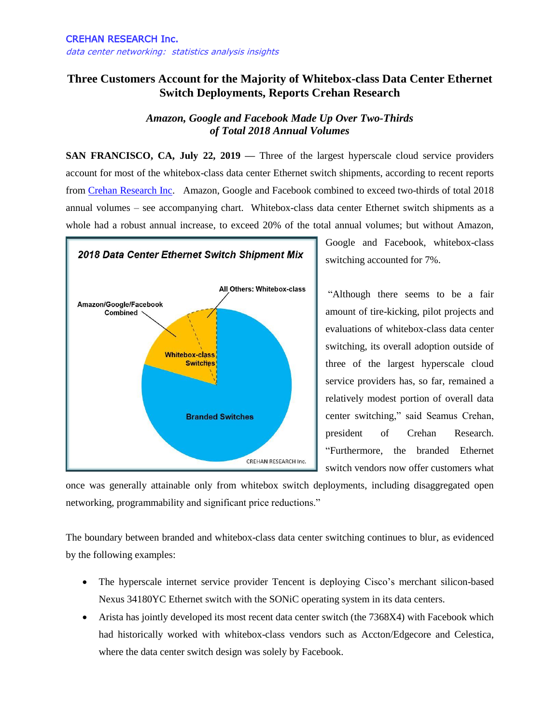## **Three Customers Account for the Majority of Whitebox-class Data Center Ethernet Switch Deployments, Reports Crehan Research**

*Amazon, Google and Facebook Made Up Over Two-Thirds of Total 2018 Annual Volumes*

**SAN FRANCISCO, CA, July 22, 2019 —** Three of the largest hyperscale cloud service providers account for most of the whitebox-class data center Ethernet switch shipments, according to recent reports from [Crehan Research Inc.](http://www.crehanresearch.com/) Amazon, Google and Facebook combined to exceed two-thirds of total 2018 annual volumes – see accompanying chart. Whitebox-class data center Ethernet switch shipments as a whole had a robust annual increase, to exceed 20% of the total annual volumes; but without Amazon,



Google and Facebook, whitebox-class switching accounted for 7%.

"Although there seems to be a fair amount of tire-kicking, pilot projects and evaluations of whitebox-class data center switching, its overall adoption outside of three of the largest hyperscale cloud service providers has, so far, remained a relatively modest portion of overall data center switching," said Seamus Crehan, president of Crehan Research. "Furthermore, the branded Ethernet switch vendors now offer customers what

once was generally attainable only from whitebox switch deployments, including disaggregated open networking, programmability and significant price reductions."

The boundary between branded and whitebox-class data center switching continues to blur, as evidenced by the following examples:

- The hyperscale internet service provider Tencent is deploying Cisco's merchant silicon-based Nexus 34180YC Ethernet switch with the SONiC operating system in its data centers.
- Arista has jointly developed its most recent data center switch (the 7368X4) with Facebook which had historically worked with whitebox-class vendors such as Accton/Edgecore and Celestica, where the data center switch design was solely by Facebook.